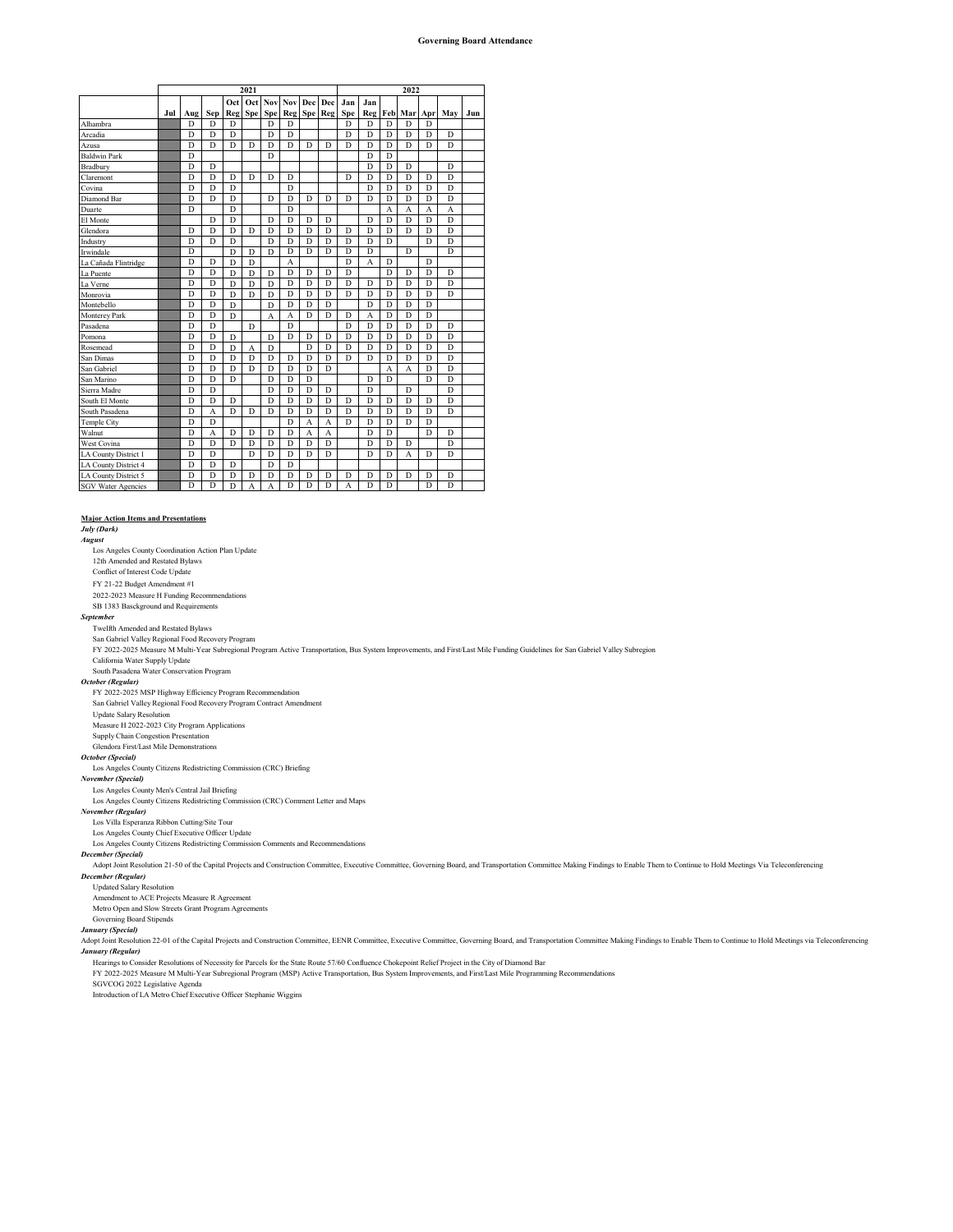|                           |     |                |                |                | 2021 |                |                |                |                |     |     | 2022           |                |                |                |     |
|---------------------------|-----|----------------|----------------|----------------|------|----------------|----------------|----------------|----------------|-----|-----|----------------|----------------|----------------|----------------|-----|
|                           |     |                |                | Oct            | Oct  | Nov            | Nov            | <b>Dec</b>     | Dec            | Jan | Jan |                |                |                |                |     |
|                           | Jul | Aug            | Sen            | Reg            | Spe  | <b>Spe</b>     | Reg            | Spe            | Reg            | Spe | Reg | Feb            | Mar            | Apr            | May            | Jun |
| Alhambra                  |     | D              | D              | D              |      | D              | D              |                |                | D   | D   | D              | D              | D              |                |     |
| Arcadia                   |     | D              | D              | D              |      | D              | D              |                |                | D   | D   | D              | D              | D              | D              |     |
| Azusa                     |     | D              | D              | D              | D    | D              | D              | D              | D              | D   | D   | D              | D              | D              | D              |     |
| <b>Baldwin Park</b>       |     | $\overline{D}$ |                |                |      | D              |                |                |                |     | D   | D              |                |                |                |     |
| Bradbury                  |     | D              | D              |                |      |                |                |                |                |     | D   | D              | D              |                | D              |     |
| Claremont                 |     | D              | D              | D              | D    | D              | D              |                |                | D   | D   | D              | D              | D              | D              |     |
| Covina                    |     | $\overline{D}$ | $\overline{D}$ | D              |      |                | $\overline{D}$ |                |                |     | D   | D              | $\overline{D}$ | D              | $\overline{D}$ |     |
| Diamond Bar               |     | $\overline{D}$ | $\overline{D}$ | D              |      | D              | $\overline{D}$ | D              | D              | D   | D   | D              | $\overline{D}$ | $\overline{D}$ | D              |     |
| Duarte                    |     | D              |                | D              |      |                | D              |                |                |     |     | $\overline{A}$ | A              | A              | $\overline{A}$ |     |
| El Monte                  |     |                | D              | D              |      | D              | $\overline{D}$ | D              | D              |     | D   | D              | $\overline{D}$ | D              | D              |     |
| Glendora                  |     | D              | $\overline{D}$ | D              | D    | D              | $\overline{D}$ | $\overline{D}$ | $\overline{D}$ | D   | D   | $\overline{D}$ | $\overline{D}$ | $\overline{D}$ | $\overline{D}$ |     |
| Industry                  |     | D              | D              | D              |      | D              | D              | D              | D              | D   | D   | D              |                | D              | D              |     |
| Irwindale                 |     | $\overline{D}$ |                | $\overline{D}$ | D    | $\overline{D}$ | $\overline{D}$ | $\overline{D}$ | $\overline{D}$ | D   | D   |                | D              |                | $\overline{D}$ |     |
| La Cañada Flintridge      |     | $\overline{D}$ | $\overline{D}$ | D              | D    |                | A              |                |                | D   | A   | $\overline{D}$ |                | $\overline{D}$ |                |     |
| La Puente                 |     | D              | D              | D              | D    | D              | D              | D              | D              | D   |     | D              | D              | D              | D              |     |
| La Verne                  |     | D              | D              | D              | D    | D              | $\overline{D}$ | $\overline{D}$ | D              | D   | D   | D              | D              | D              | D              |     |
| Monrovia                  |     | $\overline{D}$ | $\overline{D}$ | $\overline{D}$ | D    | D              | $\overline{D}$ | $\overline{D}$ | D              | D   | D   | D              | $\overline{D}$ | $\overline{D}$ | D              |     |
| Montebello                |     | D              | D              | D              |      | D              | D              | D              | D              |     | D   | D              | D              | D              |                |     |
| Monterey Park             |     | D              | D              | D              |      | A              | A              | D              | D              | D   | A   | D              | D              | D              |                |     |
| Pasadena                  |     | D              | D              |                | D    |                | D              |                |                | D   | D   | D              | D              | D              | D              |     |
| Pomona                    |     | D              | D              | D              |      | D              | D              | D              | D              | D   | D   | D              | D              | D              | D              |     |
| Rosemead                  |     | D              | $\overline{D}$ | D              | А    | D              |                | D              | D              | D   | D   | D              | D              | D              | D              |     |
| San Dimas                 |     | D              | $\overline{D}$ | D              | D    | D              | D              | D              | D              | D   | D   | D              | D              | D              | D              |     |
| San Gabriel               |     | $\overline{D}$ | $\overline{D}$ | D              | D    | D              | $\overline{D}$ | D              | D              |     |     | A              | A              | D              | D              |     |
| San Marino                |     | D              | D              | D              |      | D              | D              | D              |                |     | D   | D              |                | D              | D              |     |
| Sierra Madre              |     | D              | D              |                |      | D              | D              | D              | D              |     | D   |                | D              |                | D              |     |
| South El Monte            |     | $\overline{D}$ | $\overline{D}$ | D              |      | D              | $\overline{D}$ | $\overline{D}$ | $\overline{D}$ | D   | D   | D              | D              | D              | D              |     |
| South Pasadena            |     | $\overline{D}$ | A              | D              | D    | D              | $\overline{D}$ | $\overline{D}$ | D              | D   | D   | D              | $\overline{D}$ | $\overline{D}$ | D              |     |
| Temple City               |     | D              | D              |                |      |                | D              | A              | A              | D   | D   | D              | D              | D              |                |     |
| Walnut                    |     | $\overline{D}$ | A              | D              | D    | D              | $\overline{D}$ | A              | $\overline{A}$ |     | D   | D              |                | D              | D              |     |
| West Covina               |     | $\overline{D}$ | $\overline{D}$ | D              | D    | D              | $\overline{D}$ | $\overline{D}$ | $\overline{D}$ |     | D   | D              | D              |                | $\overline{D}$ |     |
| LA County District 1      |     | D              | D              |                | D    | D              | D              | D              | D              |     | D   | D              | A              | D              | D              |     |
| LA County District 4      |     | D              | D              | D              |      | $\overline{D}$ | $\overline{D}$ |                |                |     |     |                |                |                |                |     |
| LA County District 5      |     | $\overline{D}$ | $\overline{D}$ | D              | D    | D              | $\overline{D}$ | D              | D              | D   | D   | D              | D              | D              | D              |     |
| <b>SGV Water Agencies</b> |     | D              | D              | D              | A    | A              | D              | D              | D              | A   | D   | D              |                | D              | D              |     |

## **Major Action Items and Presentations**

## *July (Dark) August*

Los Angeles County Coordination Action Plan Update

12th Amended and Restated Bylaws Conflict of Interest Code Update

FY 21-22 Budget Amendment #1

2022-2023 Measure H Funding Recommendations

SB 1383 Basckground and Requirements

## *September*

Twelfth Amended and Restated Bylaws San Gabriel Valley Regional Food Recovery Program

FY 2022-2025 Measure M Multi-Year Subregional Program Active Transportation, Bus System Improvements, and First/Last Mile Funding Guidelines for San Gabriel Valley Subregion

California Water Supply Update

South Pasadena Water Conservation Program

## *October (Regular)*

FY 2022-2025 MSP Highway Efficiency Program Recommendation San Gabriel Valley Regional Food Recovery Program Contract Amendment

Update Salary Resolution

Measure H 2022-2023 City Program Applications Supply Chain Congestion Presentation

## Glendora First/Last Mile Demonstrations

*October (Special)* 

Los Angeles County Citizens Redistricting Commission (CRC) Briefing *November (Special)* 

## Los Angeles County Men's Central Jail Briefing

Los Angeles County Citizens Redistricting Commission (CRC) Comment Letter and Maps

# *November (Regular)*

Los Villa Esperanza Ribbon Cutting/Site Tour

# Los Angeles County Chief Executive Officer Update Los Angeles County Citizens Redistricting Commission Comments and Recommendations

*December (Special)*

Adopt Joint Resolution 21-50 of the Capital Projects and Construction Committee, Executive Committee, Governing Board, and Transportation Committee Making Findings to Enable Them to Continue to Hold Meetings Via Teleconfer *December (Regular)*

## Updated Salary Resolution

Amendment to ACE Projects Measure R Agreement Metro Open and Slow Streets Grant Program Agreements

## Governing Board Stipends

*January (Special)*

Adopt Joint Resolution 22-01 of the Capital Projects and Construction Committee, EENR Committee, Excutive Committee, Governing Board, and Transportation Committee Making Findings to Enable Them to Continue to Hold Meetings *January (Regular)* Hearings to Consider Resolutions of Necessity for Parcels for the State Route 57/60 Confluence Chokepoint Relief Project in the City of Diamond Bar

## FY 2022-2025 Measure M Multi-Year Subregional Program (MSP) Active Transportation, Bus System Improvements, and First/Last Mile Programming Recommendations

SGVCOG 2022 Legislative Agenda

Introduction of LA Metro Chief Executive Officer Stephanie Wiggins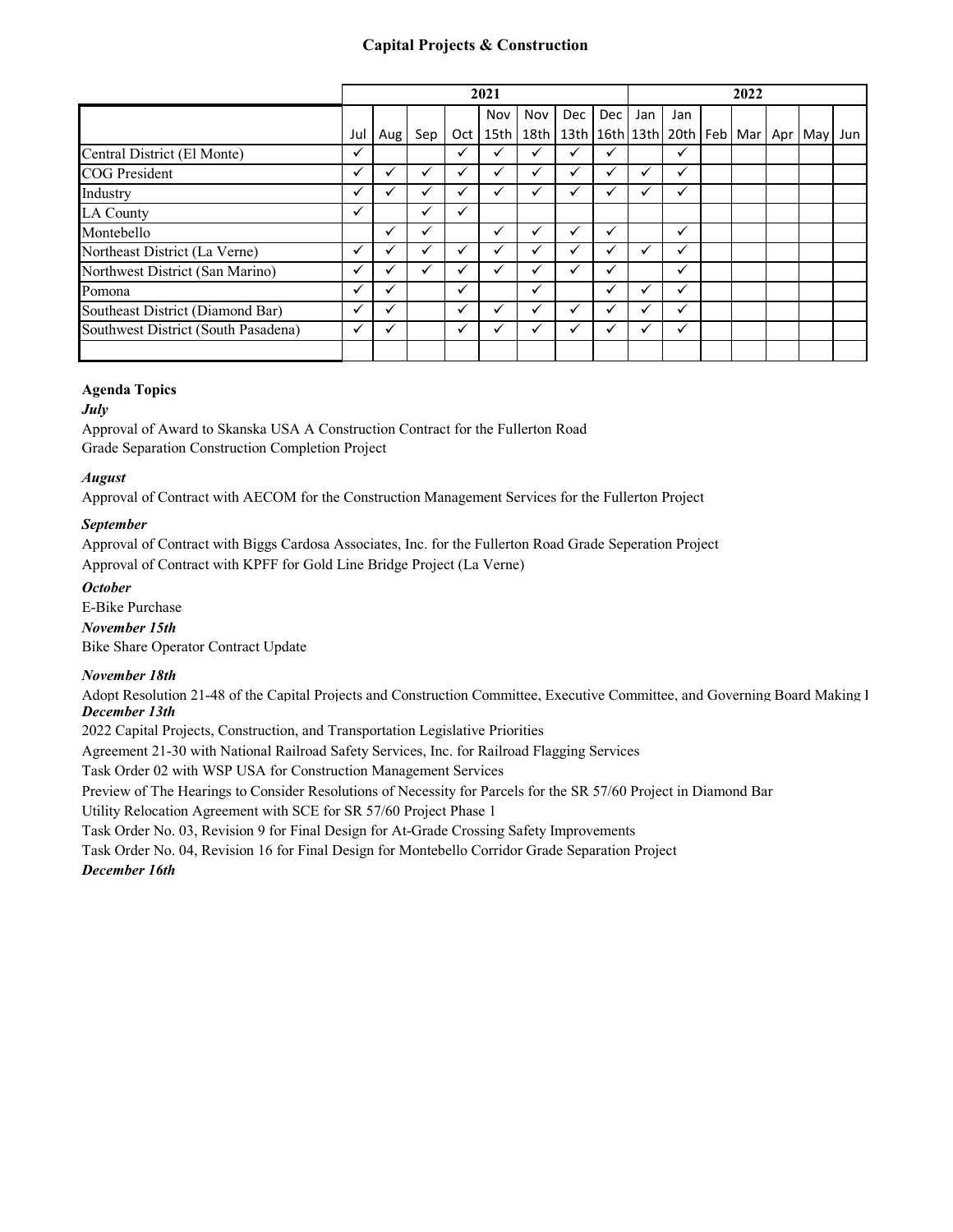# **Capital Projects & Construction**

|                                     |              |     |     |     | 2021         |                  |            |                      |     |                                     | 2022 |     |     |
|-------------------------------------|--------------|-----|-----|-----|--------------|------------------|------------|----------------------|-----|-------------------------------------|------|-----|-----|
|                                     |              |     |     |     | Nov          | Nov              | <b>Dec</b> | <b>Dec</b>           | Jan | Jan                                 |      |     |     |
|                                     | Jul          | Aug | Sep | Oct | 15th         | 18 <sub>th</sub> |            |                      |     | 13th 16th 13th 20th Feb   Mar   Apr |      | May | Jun |
| Central District (El Monte)         | ✓            |     |     | ✓   |              |                  |            | ✔                    |     | ✓                                   |      |     |     |
| <b>COG</b> President                | ✓            |     |     | ✔   |              |                  |            | v                    |     |                                     |      |     |     |
| Industry                            | ✓            | ✓   |     | ✔   | $\checkmark$ | ✓                |            | v                    | ✓   | $\checkmark$                        |      |     |     |
| <b>LA County</b>                    | ✓            |     | ✓   | ✓   |              |                  |            |                      |     |                                     |      |     |     |
| Montebello                          |              | ✓   |     |     | ✔            |                  |            | $\checkmark$         |     | ✓                                   |      |     |     |
| Northeast District (La Verne)       | $\checkmark$ |     |     | ✔   |              |                  |            | $\ddot{\phantom{0}}$ |     | ✔                                   |      |     |     |
| Northwest District (San Marino)     | ✓            |     |     | √   |              |                  |            | v                    |     | ✓                                   |      |     |     |
| Pomona                              | ✓            | ✔   |     | ✓   |              | ✓                |            | ✔                    |     | ✓                                   |      |     |     |
| Southeast District (Diamond Bar)    | ✓            |     |     | ✓   |              |                  |            | v                    |     | ✓                                   |      |     |     |
| Southwest District (South Pasadena) | $\checkmark$ |     |     | ✓   |              |                  |            | v                    |     | ✓                                   |      |     |     |
|                                     |              |     |     |     |              |                  |            |                      |     |                                     |      |     |     |

# **Agenda Topics**

# *July*

Approval of Award to Skanska USA A Construction Contract for the Fullerton Road Grade Separation Construction Completion Project

# *August*

Approval of Contract with AECOM for the Construction Management Services for the Fullerton Project

# *September*

Approval of Contract with Biggs Cardosa Associates, Inc. for the Fullerton Road Grade Seperation Project Approval of Contract with KPFF for Gold Line Bridge Project (La Verne)

# *October*

E-Bike Purchase

*November 15th*

Bike Share Operator Contract Update

# *November 18th*

Adopt Resolution 21-48 of the Capital Projects and Construction Committee, Executive Committee, and Governing Board Making I *December 13th*

2022 Capital Projects, Construction, and Transportation Legislative Priorities

Agreement 21-30 with National Railroad Safety Services, Inc. for Railroad Flagging Services

Task Order 02 with WSP USA for Construction Management Services

Preview of The Hearings to Consider Resolutions of Necessity for Parcels for the SR 57/60 Project in Diamond Bar

Utility Relocation Agreement with SCE for SR 57/60 Project Phase 1

Task Order No. 03, Revision 9 for Final Design for At-Grade Crossing Safety Improvements

Task Order No. 04, Revision 16 for Final Design for Montebello Corridor Grade Separation Project

# *December 16th*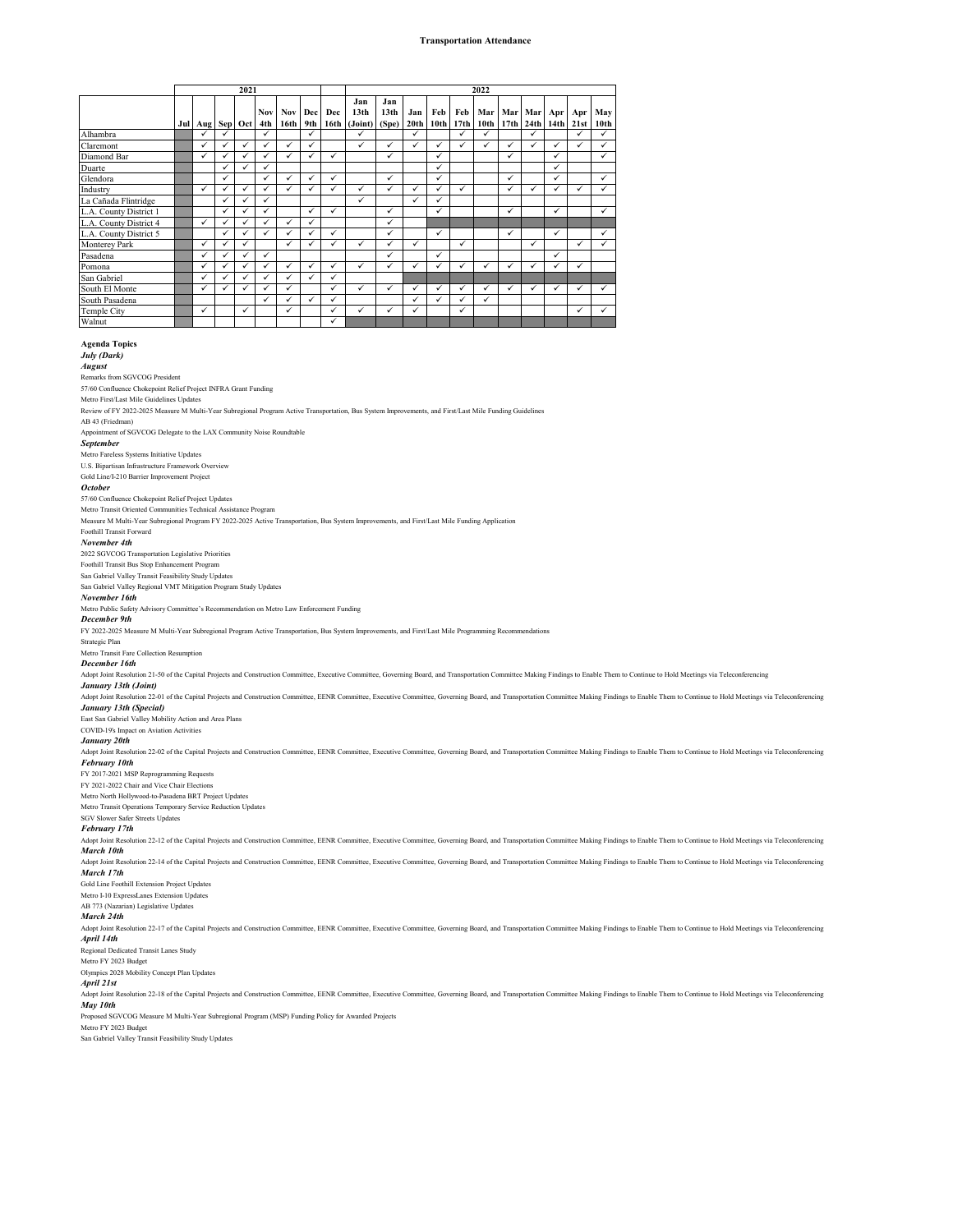## **Transportation Attendance**

|                        |                 |              | 2021 |                   |                                |              |              |                                         |                                  |                         |                         |              | 2022                    |     |                       |              |             |                         |
|------------------------|-----------------|--------------|------|-------------------|--------------------------------|--------------|--------------|-----------------------------------------|----------------------------------|-------------------------|-------------------------|--------------|-------------------------|-----|-----------------------|--------------|-------------|-------------------------|
|                        | Jul Aug Sep Oct |              |      | <b>Nov</b><br>4th | <b>Nov</b><br>16 <sub>th</sub> | Dec<br>9th   | Dec          | Jan<br>13 <sub>th</sub><br>16th (Joint) | Jan<br>13 <sub>th</sub><br>(Spe) | Jan<br>20 <sub>th</sub> | Feb<br>10 <sub>th</sub> | Feb<br>17th  | Mar<br>10 <sub>th</sub> | Mar | Mar<br>17th 24th 14th | Apr          | Apr<br>21st | May<br>10 <sub>th</sub> |
| Alhambra               | $\checkmark$    | $\checkmark$ |      | ✓                 |                                | ✓            |              | ✓                                       |                                  | ✓                       |                         | $\checkmark$ | ✓                       |     | ✓                     |              | ✓           | ✓                       |
| Claremont              | $\checkmark$    | $\checkmark$ | ✓    | $\checkmark$      | ✓                              | $\checkmark$ |              | ✓                                       | ✓                                |                         | ✓                       |              | ✓                       | ✓   | ✓                     | $\checkmark$ | ✓           | ✓                       |
| Diamond Bar            | ✓               | ✓            | ✓    | ✓                 | ✓                              | ✓            | ✓            |                                         | $\checkmark$                     |                         | ✓                       |              |                         | ✓   |                       | $\checkmark$ |             | ✓                       |
| Duarte                 |                 | ✓            | ✓    | ✓                 |                                |              |              |                                         |                                  |                         | ✓                       |              |                         |     |                       | ✓            |             |                         |
| Glendora               |                 | $\checkmark$ |      | ✓                 | $\checkmark$                   | $\checkmark$ | $\checkmark$ |                                         | ✓                                |                         | ✓                       |              |                         | ✓   |                       | $\checkmark$ |             | ✓                       |
| Industry               | $\checkmark$    | $\checkmark$ | ✓    | ✓                 | ✓                              | ✓            | ✓            | ✓                                       | ✓                                | $\checkmark$            | ✓                       | ✓            |                         | ✓   | ✓                     | ✓            | ✓           | ✓                       |
| La Cañada Flintridge   |                 | ✓            | ✓    | ✓                 |                                |              |              | $\checkmark$                            |                                  | $\checkmark$            | ✓                       |              |                         |     |                       |              |             |                         |
| L.A. County District 1 |                 | $\checkmark$ | ✓    | ✓                 |                                | $\checkmark$ | $\checkmark$ |                                         | ✓                                |                         | $\checkmark$            |              |                         | ✓   |                       | ✓            |             | ✓                       |
| L.A. County District 4 | $\checkmark$    | ✓            | ✓    | ✓                 | ✓                              | ✓            |              |                                         | ✓                                |                         |                         |              |                         |     |                       |              |             |                         |
| L.A. County District 5 |                 | ✓            | ✓    | ✓                 | ✓                              | $\checkmark$ | $\checkmark$ |                                         | $\checkmark$                     |                         | $\checkmark$            |              |                         | ✓   |                       | $\checkmark$ |             | ✓                       |
| <b>Monterey Park</b>   | $\checkmark$    | ✓            | ✓    |                   | ✓                              | $\checkmark$ |              | ✓                                       | $\checkmark$                     | $\checkmark$            |                         | $\checkmark$ |                         |     | ✓                     |              | ✓           | ✓                       |
| Pasadena               |                 | $\checkmark$ | ✓    | ✓                 |                                |              |              |                                         | $\checkmark$                     |                         | ✓                       |              |                         |     |                       | ✓            |             |                         |
| Pomona                 | $\checkmark$    | $\checkmark$ | ✓    | ✓                 | $\checkmark$                   | ✓            | $\checkmark$ | ✓                                       | ✓                                | $\checkmark$            | ✓                       | $\checkmark$ | ✓                       | ✓   | ✓                     | $\checkmark$ | ✓           |                         |
| San Gabriel            | ✓               | ✓            | ✓    | ✓                 |                                | ✓            | $\checkmark$ |                                         |                                  |                         |                         |              |                         |     |                       |              |             |                         |
| South El Monte         | ✓               | ✓            | ✓    | ✓                 | ✓                              |              | ✓            | $\checkmark$                            | ✓                                | $\checkmark$            | ✓                       | ✓            | ✓                       | ✓   | ✓                     | ✓            | ✓           | ✓                       |
| South Pasadena         |                 |              |      | ✓                 | ✓                              | $\checkmark$ | ✓            |                                         |                                  | $\checkmark$            | $\checkmark$            | $\checkmark$ | $\checkmark$            |     |                       |              |             |                         |
| Temple City            | ✓               |              | ✓    |                   | ✓                              |              | $\checkmark$ | ✓                                       | ✓                                |                         |                         | ✓            |                         |     |                       |              | ✓           | ✓                       |
| Walnut                 |                 |              |      |                   |                                |              | ✓            |                                         |                                  |                         |                         |              |                         |     |                       |              |             |                         |

**Agenda Topics** *July (Dark)*

## *August*

Remarks from SGVCOG President

57/60 Confluence Chokepoint Relief Project INFRA Grant Funding Metro First/Last Mile Guidelines Updates

Review of FY 2022-2025 Measure M Multi-Year Subregional Program Active Transportation, Bus System Improvements, and First/Last Mile Funding Guidelines AB 43 (Friedman)

Appointment of SGVCOG Delegate to the LAX Community Noise Roundtable

## *September*

Metro Fareless Systems Initiative Updates U.S. Bipartisan Infrastructure Framework Overview

Gold Line/I-210 Barrier Improvement Project

## *October*

57/60 Confluence Chokepoint Relief Project Updates

## Metro Transit Oriented Communities Technical Assistance Program

Measure M Multi-Year Subregional Program FY 2022-2025 Active Transportation, Bus System Improvements, and First/Last Mile Funding Application

## Foothill Transit Forward

*November 4th*

## 2022 SGVCOG Transportation Legislative Priorities Foothill Transit Bus Stop Enhancement Program

San Gabriel Valley Transit Feasibility Study Updates

## San Gabriel Valley Regional VMT Mitigation Program Study Updates

*November 16th*

## Metro Public Safety Advisory Committee's Recommendation on Metro Law Enforcement Funding

*December 9th*

FY 2022-2025 Measure M Multi-Year Subregional Program Active Transportation, Bus System Improvements, and First/Last Mile Programming Recommendations

## Strategic Plan Metro Transit Fare Collection Resumption

*December 16th*

Adopt Joint Resolution 21-50 of the Capital Projects and Construction Committee, Executive Committee, Governing Board, and Transportation Committee Making Findings to Enable Them to Continue to Hold Meetings via Teleconfer *January 13th (Joint)*

Adopt Joint Resolution 22-01 of the Capital Projects and Construction Committee, EENR Committee, Executive Committee, Governing Board, and Transportation Committee Making Findings to Enable Them to Continue to Hold Meeting *January 13th (Special)*

## East San Gabriel Valley Mobility Action and Area Plans

COVID-19's Impact on Aviation Activities

## *January 20th*

Adopt Joint Resolution 22-02 of the Capital Projects and Construction Committee, EENR Committee, Executive Committee, Governing Board, and Transportation Committee Making Findings to Enable Them to Continue to Hold Meeting *February 10th*

## FY 2017-2021 MSP Reprogramming Requests

FY 2021-2022 Chair and Vice Chair Elections

## Metro North Hollywood-to-Pasadena BRT Project Updates

Metro Transit Operations Temporary Service Reduction Updates SGV Slower Safer Streets Updates

## *February 17th*

## Adopt Joint Resolution 22-12 of the Capital Projects and Construction Committee, EENR Committee, Executive Committee, Governing Board, and Transportation Committee Making Findings to Enable Them to Continue to Hold Meeting *March 10th*

Adopt Joint Resolution 22-14 of the Capital Projects and Construction Committee, EENR Committee, Executive Committee, Governing Board, and Transportation Committee Making Findings to Enable Them to Continue to Hold Meeting *March 17th* Gold Line Foothill Extension Project Updates

## Metro I-10 ExpressLanes Extension Updates

AB 773 (Nazarian) Legislative Updates

## *March 24th*

Adopt Joint Resolution 22-17 of the Capital Projects and Construction Committee, EENR Committee, Executive Committee, Governing Board, and Transportation Committee Making Findings to Enable Them to Continue to Hold Meeting *April 14th*

Regional Dedicated Transit Lanes Study Metro FY 2023 Budget

## Olympics 2028 Mobility Concept Plan Updates

*April 21st*

## Adopt Joint Resolution 22-18 of the Capital Projects and Construction Committee, EENR Committee, Executive Committee, Governing Board, and Transportation Committee Making Findings to Enable Them to Continue to Hold Meeting *May 10th*

Proposed SGVCOG Measure M Multi-Year Subregional Program (MSP) Funding Policy for Awarded Projects

## Metro FY 2023 Budget

San Gabriel Valley Transit Feasibility Study Updates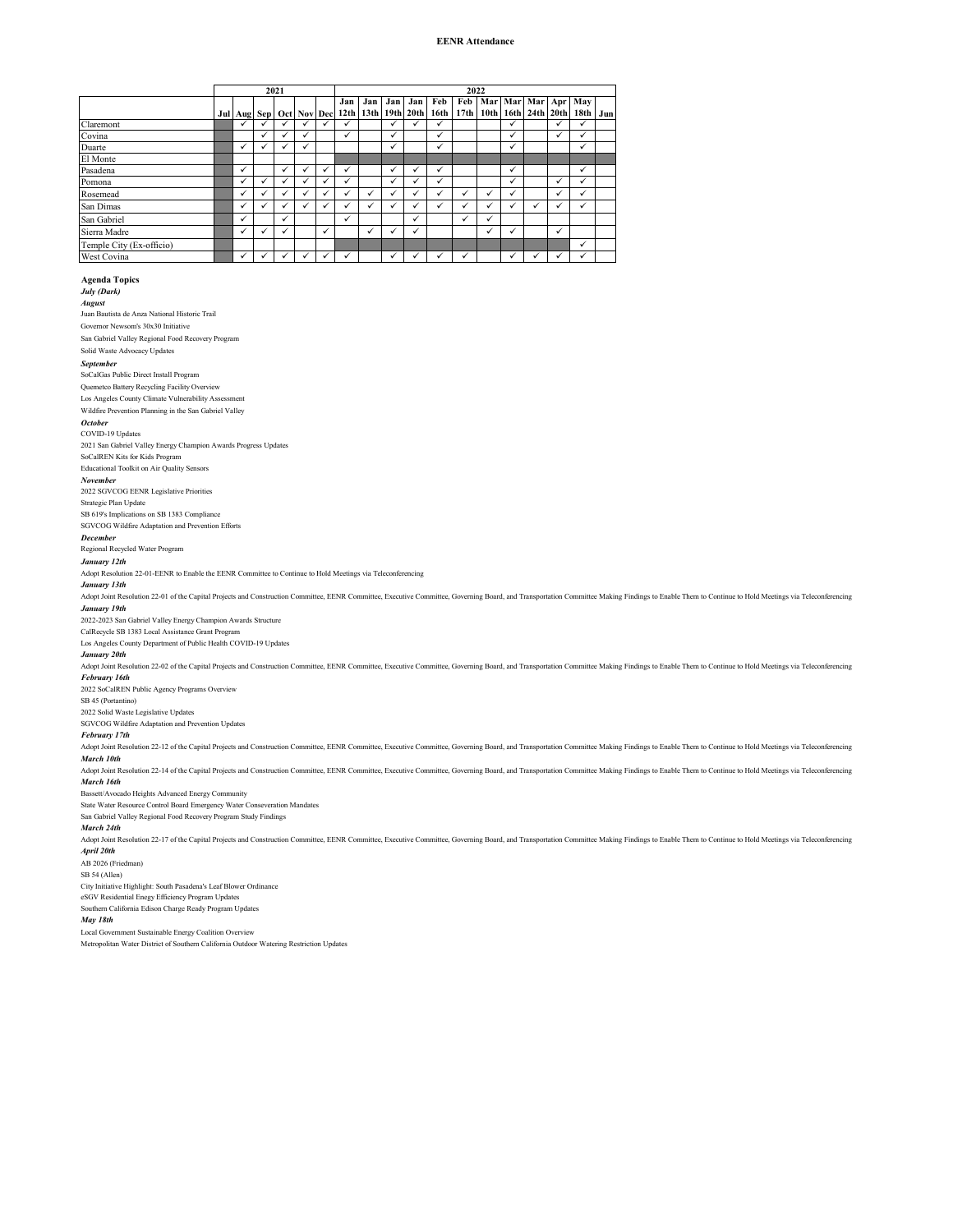## **EENR Attendance**

|                          |   |                         | 2021 |              |   |                         |     |              |                       |              | 2022 |                          |              |   |              |                                         |     |
|--------------------------|---|-------------------------|------|--------------|---|-------------------------|-----|--------------|-----------------------|--------------|------|--------------------------|--------------|---|--------------|-----------------------------------------|-----|
|                          |   | Jul Aug Sep Oct Nov Dec |      |              |   | Jan<br>12 <sub>th</sub> | Jan | Jan          | Jan<br>13th 19th 20th | Feb<br>16th  | Feb  | 17th 10th 16th 24th 20th |              |   |              | Mar Mar Mar Apr May<br>18 <sub>th</sub> | Jun |
| Claremont                | ✓ |                         |      | ✓            | ✓ | ✓                       |     | $\checkmark$ | ✓                     | $\checkmark$ |      |                          | ✓            |   | ✓            | ✓                                       |     |
| Covina                   |   | ✓                       |      | ✓            |   | ✓                       |     | ✓            |                       | ✓            |      |                          | ✓            |   | ✓            | ✓                                       |     |
| Duarte                   | ✓ | $\checkmark$            |      | ✓            |   |                         |     | ✓            |                       | ✓            |      |                          | ✓            |   |              | ✓                                       |     |
| El Monte                 |   |                         |      |              |   |                         |     |              |                       |              |      |                          |              |   |              |                                         |     |
| Pasadena                 | ✓ |                         | ✓    | $\checkmark$ | ✓ | ✓                       |     | ✓            | ✓                     | ✓            |      |                          | ✓            |   |              | ✓                                       |     |
| Pomona                   | ✓ | ✓                       |      | ✓            | √ | ✓                       |     | ✓            | ✓                     | ✓            |      |                          | $\checkmark$ |   | ✓            | ✓                                       |     |
| Rosemead                 | ✓ | $\checkmark$            |      | $\checkmark$ | ✓ | ✓                       | ✓   | ✓            | ✓                     | ✓            | ✓    | ✓                        | $\checkmark$ |   | ✓            | $\checkmark$                            |     |
| San Dimas                | ✓ | $\checkmark$            |      | ✓            | ✓ | ✓                       | ✓   | ✓            | ✓                     | $\checkmark$ | ✓    | ✓                        | $\checkmark$ | ✓ | $\checkmark$ | ✓                                       |     |
| San Gabriel              | ✓ |                         | ✓    |              |   | ✓                       |     |              | ✓                     |              | ✓    | ✓                        |              |   |              |                                         |     |
| Sierra Madre             | ✓ | $\checkmark$            | ✓    |              | ✓ |                         | ✓   | ✓            | ✓                     |              |      | ✓                        | ✓            |   | ✓            |                                         |     |
| Temple City (Ex-officio) |   |                         |      |              |   |                         |     |              |                       |              |      |                          |              |   |              | ✓                                       |     |
| West Covina              | ✓ |                         |      | ✓            | ✓ | ✓                       |     | ✓            |                       | ✔            | ✓    |                          |              |   |              | ✓                                       |     |

**Agenda Topics** *July (Dark) August* Juan Bautista de Anza National Historic Trail Governor Newsom's 30x30 Initiative San Gabriel Valley Regional Food Recovery Program Solid Waste Advocacy Updates *September* SoCalGas Public Direct Install Program Quemetco Battery Recycling Facility Overview Los Angeles County Climate Vulnerability Assess Wildfire Prevention Planning in the San Gabriel Valley *October* COVID-19 Updates 2021 San Gabriel Valley Energy Champion Awards Progress Updates SoCalREN Kits for Kids Program Educational Toolkit on Air Quality Sensors *November* 2022 SGVCOG EENR Legislative Priorities Strategic Plan Update SB 619's Implications on SB 1383 Compliance SGVCOG Wildfire Adaptation and Prevention Efforts *December* Regional Recycled Water Program *January 12th* Adopt Resolution 22-01-EENR to Enable the EENR Committee to Continue to Hold Meetings via Teleconferencing *January 13th* Adopt Joint Resolution 22-01 of the Capital Projects and Construction Committee, EENR Committee, Executive Committee, Governing Board, and Transportation Committee Making Findings to Enable Them to Continue to Hold Meeting *January 19th* 2022-2023 San Gabriel Valley Energy Champion Awards Structure CalRecycle SB 1383 Local Assistance Grant Progra Los Angeles County Department of Public Health COVID-19 Updates *January 20th* Adopt Joint Resolution 22-02 of the Capital Projects and Construction Committee, EENR Committee, Executive Committee, Governing Board, and Transportation Committee Making Findings to Enable Them to Continue to Hold Meeting *February 16th* 2022 SoCalREN Public Agency Programs Overview SB 45 (Portantino) 2022 Solid Waste Legislative Updates SGVCOG Wildfire Adaptation and Prevention Updates *February 17th* Adopt Joint Resolution 22-12 of the Capital Projects and Construction Committee, EENR Committee, Executive Committee, Governing Board, and Transportation Committee Making Findings to Enable Them to Continue to Hold Meeting *March 10th* Adopt Joint Resolution 22-14 of the Capital Projects and Construction Committee, EENR Committee, Executive Committee, Governing Board, and Transportation Committee Making Findings to Enable Them to Continue to Hold Meeting *March 16th* Bassett/Avocado Heights Advanced Energy Community State Water Resource Control Board Emergency Water Conseveration Mandat San Gabriel Valley Regional Food Recovery Program Study Findings *March 24th* Adopt Joint Resolution 22-17 of the Capital Projects and Construction Committee, EENR Committee, Exceutive Committee, Governing Board, and Transportation Committee Making Findings to Enable Them to Continue to Hold Meeting *April 20th* AB 2026 (Friedman) SB 54 (Allen) City Initiative Highlight: South Pasadena's Leaf Blower Ordinance eSGV Residential Enegy Efficiency Program Updates Southern California Edison Charge Ready Program Updates

# *May 18th*

ent Sustainable Energy Coalition Overview Metropolitan Water District of Southern California Outdoor Watering Restriction Updates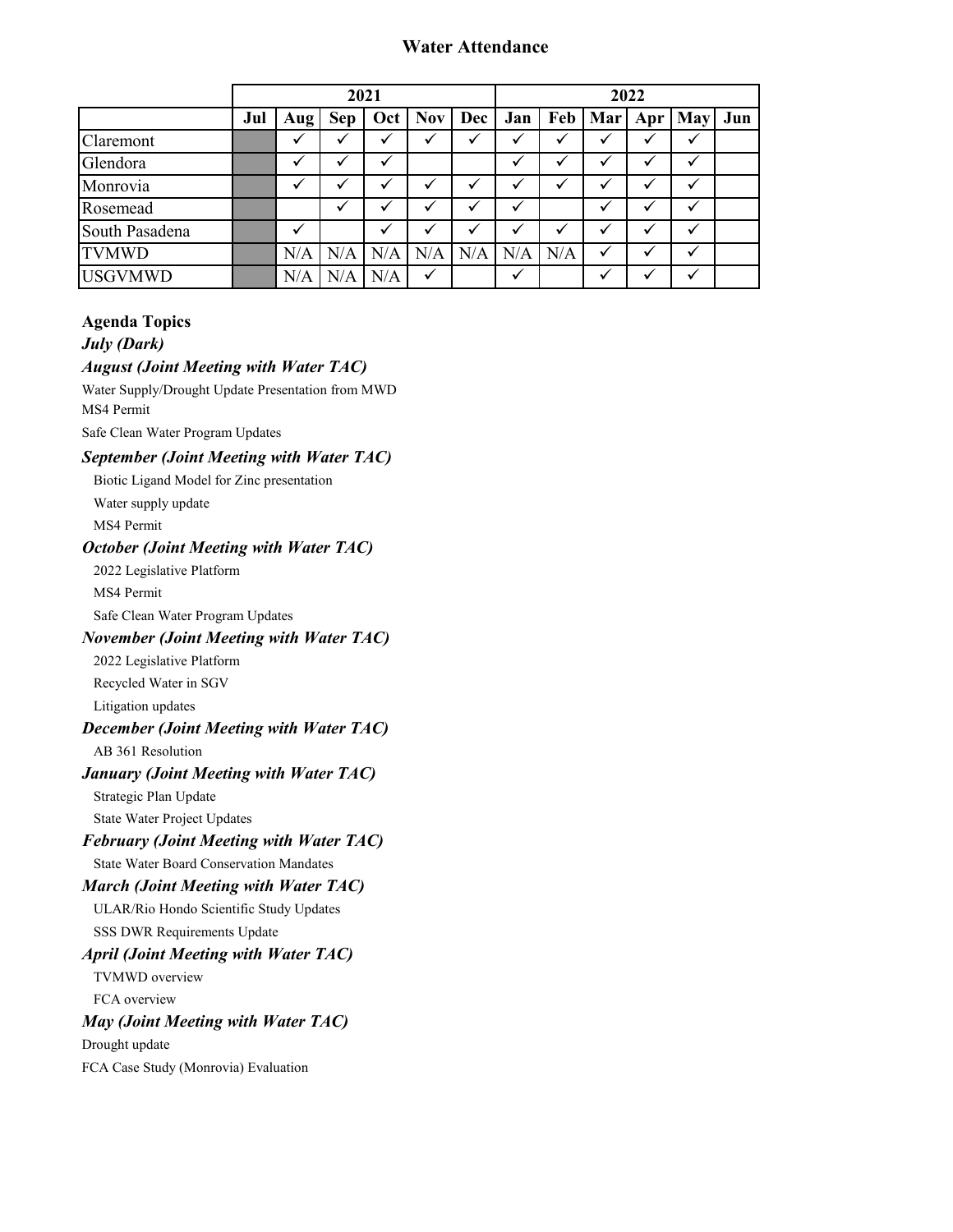# **Water Attendance**

|                |     |              |            | 2021 |              |            |              |     |              | 2022 |            |     |
|----------------|-----|--------------|------------|------|--------------|------------|--------------|-----|--------------|------|------------|-----|
|                | Jul | Aug          | <b>Sep</b> | Oct  | <b>Nov</b>   | <b>Dec</b> | Jan          |     | Feb   Mar    | Apr  | <b>May</b> | Jun |
| Claremont      |     | ✓            |            |      | ✓            |            | ✓            |     | √            | ✓    |            |     |
| Glendora       |     | ✓            |            |      |              |            | ✓            |     |              |      |            |     |
| Monrovia       |     | $\checkmark$ |            | v    |              |            | v            |     | v            |      | v          |     |
| Rosemead       |     |              |            |      |              |            | ✓            |     |              |      |            |     |
| South Pasadena |     | $\checkmark$ |            | ✓    | ✓            | ✓          | ✓            |     | ✓            | ✓    | ✓          |     |
| <b>TVMWD</b>   |     | N/A          | N/A        | N/A  | N/A          | N/A        | N/A          | N/A | $\checkmark$ | ✓    | ✓          |     |
| <b>USGVMWD</b> |     | N/A          | $\rm N/A$  | N/A  | $\checkmark$ |            | $\checkmark$ |     | ✓            |      |            |     |

# **Agenda Topics**

*July (Dark)*

# *August (Joint Meeting with Water TAC)*

Water Supply/Drought Update Presentation from MWD MS4 Permit Safe Clean Water Program Updates

# *September (Joint Meeting with Water TAC)*

Biotic Ligand Model for Zinc presentation

Water supply update

MS4 Permit

# *October (Joint Meeting with Water TAC)*

2022 Legislative Platform

MS4 Permit

Safe Clean Water Program Updates

# *November (Joint Meeting with Water TAC)*

2022 Legislative Platform

Recycled Water in SGV

Litigation updates

# *December (Joint Meeting with Water TAC)*

AB 361 Resolution

# *January (Joint Meeting with Water TAC)*

Strategic Plan Update

State Water Project Updates

# *February (Joint Meeting with Water TAC)*

State Water Board Conservation Mandates

# *March (Joint Meeting with Water TAC)*

ULAR/Rio Hondo Scientific Study Updates SSS DWR Requirements Update

# *April (Joint Meeting with Water TAC)*

TVMWD overview

FCA overview

# *May (Joint Meeting with Water TAC)*

Drought update

FCA Case Study (Monrovia) Evaluation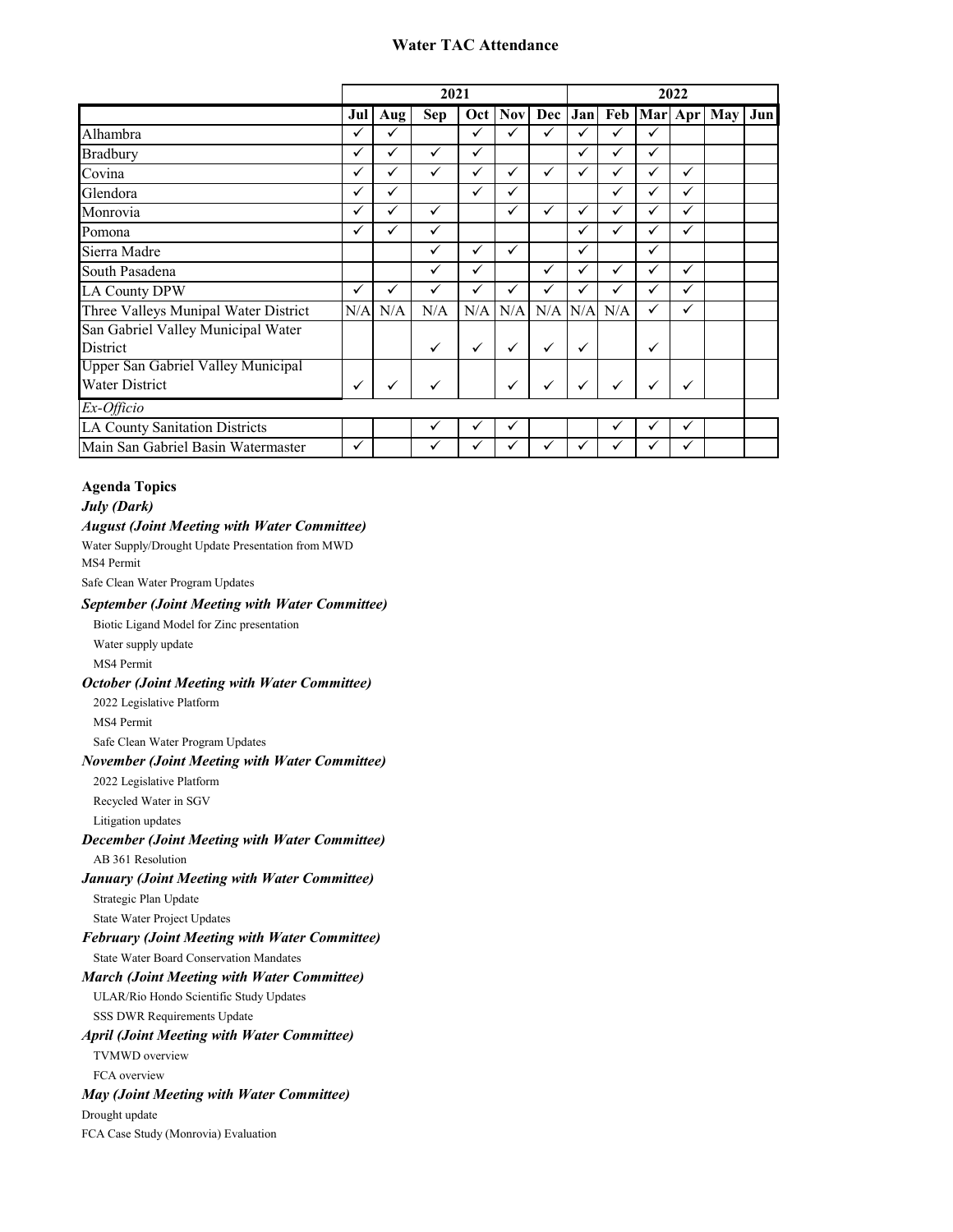# **Water TAC Attendance**

|                                      |              |     | 2021         |              |              |              |              |              |   | 2022         |                       |     |
|--------------------------------------|--------------|-----|--------------|--------------|--------------|--------------|--------------|--------------|---|--------------|-----------------------|-----|
|                                      | Jul          | Aug | <b>Sep</b>   | Oct          | <b>Nov</b>   |              | Dec Jan      |              |   |              | Feb   Mar   Apr   May | Jun |
| Alhambra                             | ✓            | ✓   |              | $\checkmark$ | ✓            | ✓            |              | ✓            | ✓ |              |                       |     |
| Bradbury                             | ✓            | ✓   | ✓            | $\checkmark$ |              |              | ✓            | ✓            | ✓ |              |                       |     |
| Covina                               | ✓            | ✓   | ✓            | ✓            | ✓            | ✓            |              | ✓            |   | ✓            |                       |     |
| Glendora                             | ✓            | ✓   |              | $\checkmark$ | ✓            |              |              | $\checkmark$ |   | $\checkmark$ |                       |     |
| Monrovia                             | $\checkmark$ | ✓   | ✓            |              | $\checkmark$ | ✓            | ✓            | $\checkmark$ | ✓ | $\checkmark$ |                       |     |
| Pomona                               | ✓            | ✓   | ✓            |              |              |              | ✓            | $\checkmark$ | ✓ | $\checkmark$ |                       |     |
| Sierra Madre                         |              |     | $\checkmark$ | ✓            | ✓            |              | $\checkmark$ |              | ✓ |              |                       |     |
| South Pasadena                       |              |     | $\checkmark$ | ✓            |              | ✓            |              | $\checkmark$ |   | $\checkmark$ |                       |     |
| <b>LA County DPW</b>                 | ✓            | ✓   | $\checkmark$ | ✓            | ✓            | ✓            |              |              |   | $\checkmark$ |                       |     |
| Three Valleys Munipal Water District | N/A          | N/A | N/A          | N/A          | N/A          | N/A          | N/A          | N/A          | ✓ | $\checkmark$ |                       |     |
| San Gabriel Valley Municipal Water   |              |     |              |              |              |              |              |              |   |              |                       |     |
| District                             |              |     | ✓            | $\checkmark$ | $\checkmark$ | ✓            | $\checkmark$ |              | ✓ |              |                       |     |
| Upper San Gabriel Valley Municipal   |              |     |              |              |              |              |              |              |   |              |                       |     |
| Water District                       | $\checkmark$ | ✓   | ✓            |              | ✓            | $\checkmark$ |              |              | ✓ | $\checkmark$ |                       |     |
| Ex-Officio                           |              |     |              |              |              |              |              |              |   |              |                       |     |
| LA County Sanitation Districts       |              |     | ✓            | ✓            | ✓            |              |              | ✓            |   | $\checkmark$ |                       |     |
| Main San Gabriel Basin Watermaster   | ✓            |     | ✓            |              | ✓            | ✓            |              | ✓            |   |              |                       |     |

# **Agenda Topics**

# *July (Dark)*

# *August (Joint Meeting with Water Committee)*

Water Supply/Drought Update Presentation from MWD

MS4 Permit

Safe Clean Water Program Updates

## *September (Joint Meeting with Water Committee)*

Biotic Ligand Model for Zinc presentation

Water supply update

MS4 Permit

# *October (Joint Meeting with Water Committee)*

2022 Legislative Platform

MS4 Permit

Safe Clean Water Program Updates

## *November (Joint Meeting with Water Committee)*

2022 Legislative Platform

Recycled Water in SGV

Litigation updates

## *December (Joint Meeting with Water Committee)*

AB 361 Resolution

## *January (Joint Meeting with Water Committee)*

Strategic Plan Update

State Water Project Updates

# *February (Joint Meeting with Water Committee)*

State Water Board Conservation Mandates

## *March (Joint Meeting with Water Committee)*

ULAR/Rio Hondo Scientific Study Updates

SSS DWR Requirements Update

# *April (Joint Meeting with Water Committee)*

TVMWD overview

FCA overview

# *May (Joint Meeting with Water Committee)*

Drought update

FCA Case Study (Monrovia) Evaluation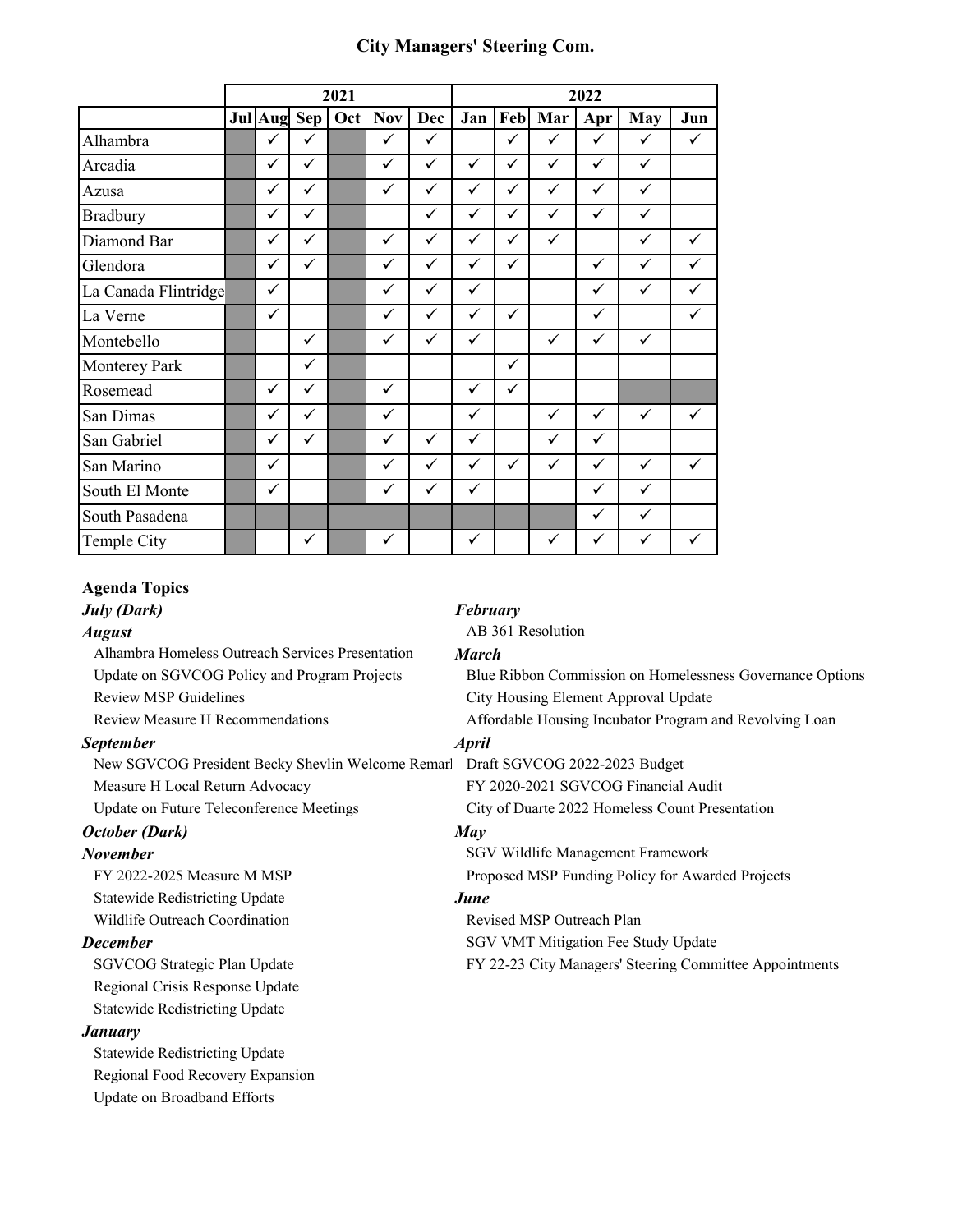# **City Managers' Steering Com.**

|                      |                |              | 2021 |              |              |              |              |              | 2022         |              |     |
|----------------------|----------------|--------------|------|--------------|--------------|--------------|--------------|--------------|--------------|--------------|-----|
|                      | <b>Jul</b> Aug | <b>Sep</b>   | Oct  | <b>Nov</b>   | Dec          | Jan          | Feb          | Mar          | Apr          | <b>May</b>   | Jun |
| Alhambra             | $\checkmark$   | ✓            |      | ✓            | ✓            |              | $\checkmark$ | $\checkmark$ | $\checkmark$ | ✓            | ✓   |
| Arcadia              | $\checkmark$   | ✓            |      | $\checkmark$ | ✓            | ✓            | $\checkmark$ | ✓            | $\checkmark$ | ✓            |     |
| Azusa                | $\checkmark$   | ✓            |      | $\checkmark$ | $\checkmark$ | $\checkmark$ | $\checkmark$ | ✓            | $\checkmark$ | $\checkmark$ |     |
| <b>Bradbury</b>      | $\checkmark$   | ✓            |      |              | ✓            | ✓            | $\checkmark$ | ✓            | $\checkmark$ | ✓            |     |
| Diamond Bar          | $\checkmark$   | $\checkmark$ |      | ✓            | $\checkmark$ | ✓            | $\checkmark$ | ✓            |              | ✓            | ✓   |
| Glendora             | $\checkmark$   | ✓            |      | ✓            | ✓            | $\checkmark$ | $\checkmark$ |              | $\checkmark$ | ✓            | ✓   |
| La Canada Flintridge | $\checkmark$   |              |      | ✓            | ✓            | ✓            |              |              | $\checkmark$ | ✓            | ✓   |
| La Verne             | $\checkmark$   |              |      | ✓            | ✓            | ✓            | $\checkmark$ |              | $\checkmark$ |              | ✓   |
| Montebello           |                | ✓            |      | ✓            | ✓            | ✓            |              | ✓            | $\checkmark$ | ✓            |     |
| <b>Monterey Park</b> |                | ✓            |      |              |              |              | ✓            |              |              |              |     |
| Rosemead             | $\checkmark$   | ✓            |      | $\checkmark$ |              | ✓            | $\checkmark$ |              |              |              |     |
| San Dimas            | $\checkmark$   | ✓            |      | ✓            |              | ✓            |              | $\checkmark$ | $\checkmark$ | ✓            | ✓   |
| San Gabriel          | $\checkmark$   | ✓            |      | $\checkmark$ | $\checkmark$ | $\checkmark$ |              | $\checkmark$ | $\checkmark$ |              |     |
| San Marino           | $\checkmark$   |              |      | $\checkmark$ | $\checkmark$ | $\checkmark$ | $\checkmark$ | $\checkmark$ | $\checkmark$ | ✓            | ✓   |
| South El Monte       | $\checkmark$   |              |      | ✓            | $\checkmark$ | $\checkmark$ |              |              | $\checkmark$ | ✓            |     |
| South Pasadena       |                |              |      |              |              |              |              |              | $\checkmark$ | ✓            |     |
| Temple City          |                | ✓            |      | $\checkmark$ |              | ✓            |              | ✓            | $\checkmark$ | ✓            | ✓   |

# **Agenda Topics**

*July (Dark) February* 

Alhambra Homeless Outreach Services Presentation *March*  Review MSP Guidelines **City Housing Element Approval Update** Review Measure H Recommendations **Affordable Housing Incubator Program and Revolving Loan** 

# *September April*

New SGVCOG President Becky Shevlin Welcome Remark Draft SGVCOG 2022-2023 Budget Measure H Local Return Advocacy FY 2020-2021 SGVCOG Financial Audit

# *October (Dark) May*

Statewide Redistricting Update *June*

Regional Crisis Response Update Statewide Redistricting Update

# *January*

Statewide Redistricting Update Regional Food Recovery Expansion Update on Broadband Efforts

*August* AB 361 Resolution

Update on SGVCOG Policy and Program Projects Blue Ribbon Commission on Homelessness Governance Options

Update on Future Teleconference Meetings City of Duarte 2022 Homeless Count Presentation

**November SGV Wildlife Management Framework** FY 2022-2025 Measure M MSP Proposed MSP Proposed MSP Funding Policy for Awarded Projects

Wildlife Outreach Coordination **Revised MSP Outreach Plan December** SGV VMT Mitigation Fee Study Update

SGVCOG Strategic Plan Update FY 22-23 City Managers' Steering Committee Appointments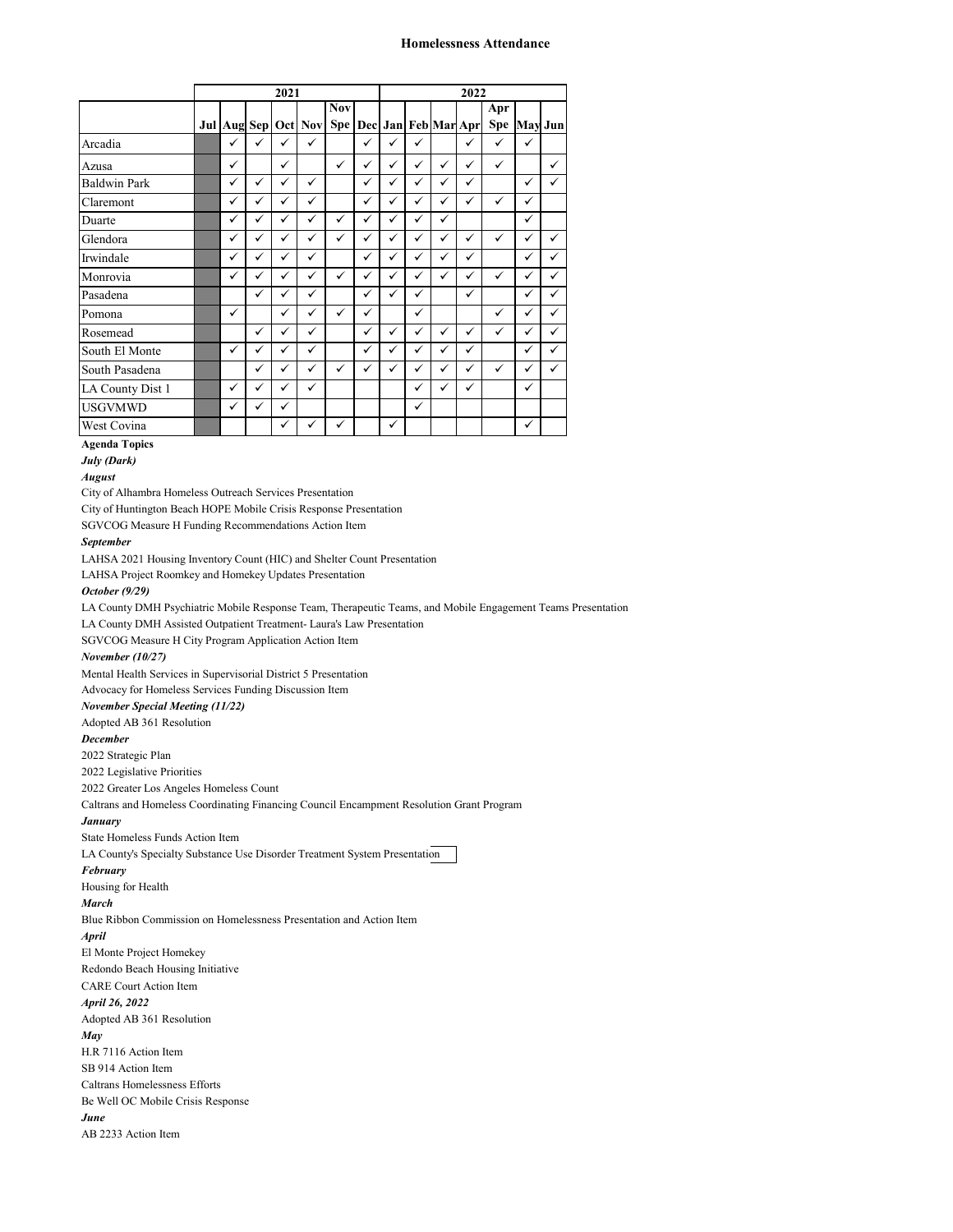## **Homelessness Attendance**

|                     |              |              | 2021         |                     |              |              |              |              |              | 2022                |              |              |              |
|---------------------|--------------|--------------|--------------|---------------------|--------------|--------------|--------------|--------------|--------------|---------------------|--------------|--------------|--------------|
|                     |              |              |              |                     | <b>Nov</b>   |              |              |              |              |                     | Apr          |              |              |
|                     |              |              |              | Jul Aug Sep Oct Nov | Spe          |              |              |              |              | Dec Jan Feb Mar Apr | <b>Spe</b>   |              | May Jun      |
| Arcadia             | ✓            | $\checkmark$ | $\checkmark$ | $\checkmark$        |              | $\checkmark$ | ✓            | $\checkmark$ |              | ✓                   | $\checkmark$ | $\checkmark$ |              |
| Azusa               | $\checkmark$ |              | ✓            |                     | $\checkmark$ | $\checkmark$ | $\checkmark$ | $\checkmark$ | $\checkmark$ | $\checkmark$        | $\checkmark$ |              | ✓            |
| <b>Baldwin Park</b> | ✓            | ✓            | $\checkmark$ | ✓                   |              | $\checkmark$ | $\checkmark$ | ✓            | ✓            | $\checkmark$        |              | $\checkmark$ | ✓            |
| Claremont           | ✓            | $\checkmark$ | $\checkmark$ | $\checkmark$        |              | $\checkmark$ | $\checkmark$ | $\checkmark$ | ✓            | $\checkmark$        | $\checkmark$ | ✓            |              |
| Duarte              | ✓            | $\checkmark$ | $\checkmark$ | ✓                   | $\checkmark$ | $\checkmark$ | $\checkmark$ | ✓            | ✓            |                     |              | ✓            |              |
| Glendora            | $\checkmark$ | $\checkmark$ | ✓            | $\checkmark$        | $\checkmark$ | $\checkmark$ | $\checkmark$ | ✓            | ✓            | ✓                   | $\checkmark$ | $\checkmark$ | $\checkmark$ |
| Irwindale           | $\checkmark$ | $\checkmark$ | $\checkmark$ | $\checkmark$        |              | $\checkmark$ | $\checkmark$ | $\checkmark$ | ✓            | ✓                   |              | $\checkmark$ | ✓            |
| Monrovia            | ✓            | $\checkmark$ | $\checkmark$ | $\checkmark$        | ✓            | ✓            | $\checkmark$ | ✓            | ✓            | $\checkmark$        | $\checkmark$ | ✓            | ✓            |
| Pasadena            |              | $\checkmark$ | $\checkmark$ | ✓                   |              | $\checkmark$ | ✓            | ✓            |              | $\checkmark$        |              | ✓            | ✓            |
| Pomona              | ✓            |              | ✓            | ✓                   | ✓            | ✓            |              | ✓            |              |                     | $\checkmark$ | $\checkmark$ | ✓            |
| Rosemead            |              | ✓            | ✓            | ✓                   |              | ✓            | ✓            | ✓            | ✓            | ✓                   | $\checkmark$ | $\checkmark$ | ✓            |
| South El Monte      | ✓            | ✓            | ✓            | ✓                   |              | $\checkmark$ | ✓            | ✓            | ✓            | ✓                   |              | ✓            | ✓            |
| South Pasadena      |              | ✓            | $\checkmark$ | ✓                   | ✓            | $\checkmark$ | ✓            | ✓            | ✓            | $\checkmark$        | $\checkmark$ | $\checkmark$ | ✓            |
| LA County Dist 1    | ✓            | ✓            | ✓            | $\checkmark$        |              |              |              | ✓            | ✓            | ✓                   |              | ✓            |              |
| <b>USGVMWD</b>      | ✓            | $\checkmark$ | ✓            |                     |              |              |              | $\checkmark$ |              |                     |              |              |              |
| West Covina         |              |              | $\checkmark$ | ✓                   | ✓            |              | $\checkmark$ |              |              |                     |              | ✓            |              |

## **Agenda Topics**

*July (Dark)*

*August*

City of Alhambra Homeless Outreach Services Presentation

City of Huntington Beach HOPE Mobile Crisis Response Presentation

SGVCOG Measure H Funding Recommendations Action Item

## *September*

LAHSA 2021 Housing Inventory Count (HIC) and Shelter Count Presentation

LAHSA Project Roomkey and Homekey Updates Presentation

## *October (9/29)*

LA County DMH Psychiatric Mobile Response Team, Therapeutic Teams, and Mobile Engagement Teams Presentation

LA County DMH Assisted Outpatient Treatment- Laura's Law Presentation

SGVCOG Measure H City Program Application Action Item

## *November (10/27)*

Mental Health Services in Supervisorial District 5 Presentation Advocacy for Homeless Services Funding Discussion Item

## *November Special Meeting (11/22)*

Adopted AB 361 Resolution

## *December*

2022 Strategic Plan

2022 Legislative Priorities

2022 Greater Los Angeles Homeless Count

Caltrans and Homeless Coordinating Financing Council Encampment Resolution Grant Program

## *January*

State Homeless Funds Action Item

LA County's Specialty Substance Use Disorder Treatment System Presentation

*February*

Housing for Health

*March* Blue Ribbon Commission on Homelessness Presentation and Action Item

*April*

El Monte Project Homekey

Redondo Beach Housing Initiative

CARE Court Action Item

*April 26, 2022*

Adopted AB 361 Resolution

*May*

- H.R 7116 Action Item SB 914 Action Item
- Caltrans Homelessness Efforts

Be Well OC Mobile Crisis Response

*June*

AB 2233 Action Item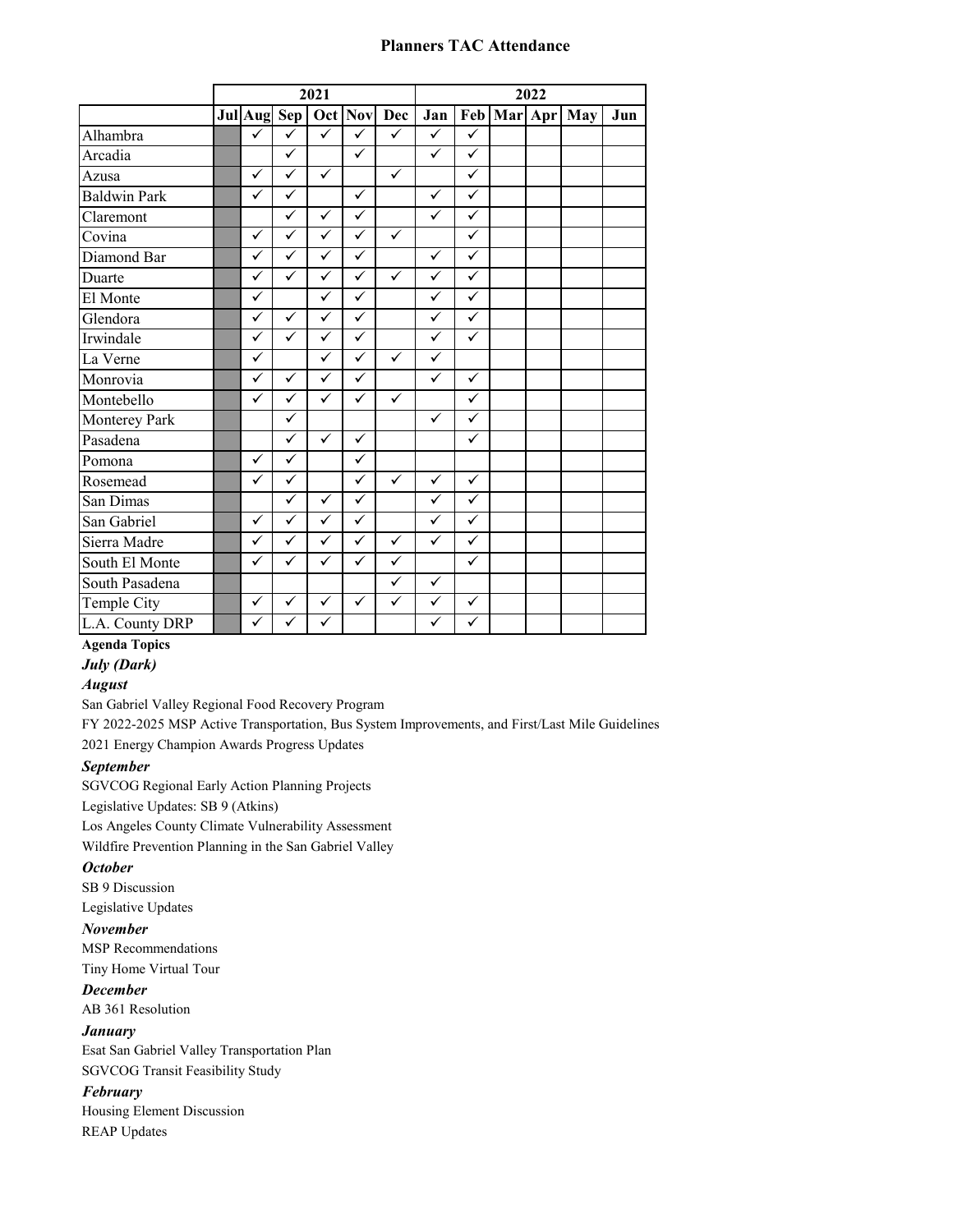# **Planners TAC Attendance**

|                     |              |                         | 2021         |              |              |              |              |             | 2022 |     |     |
|---------------------|--------------|-------------------------|--------------|--------------|--------------|--------------|--------------|-------------|------|-----|-----|
|                     | Jul Aug Sep  |                         |              |              | Oct Nov Dec  | Jan          |              | Feb Mar Apr |      | May | Jun |
| Alhambra            | $\checkmark$ | ✓                       | ✓            | ✓            | ✓            | ✓            | $\checkmark$ |             |      |     |     |
| Arcadia             |              | $\checkmark$            |              | $\checkmark$ |              | $\checkmark$ | $\checkmark$ |             |      |     |     |
| Azusa               | $\checkmark$ | ✓                       | $\checkmark$ |              | $\checkmark$ |              | $\checkmark$ |             |      |     |     |
| <b>Baldwin Park</b> | ✓            | ✓                       |              | $\checkmark$ |              | $\checkmark$ | $\checkmark$ |             |      |     |     |
| Claremont           |              | ✓                       | ✓            | ✓            |              | $\checkmark$ | ✓            |             |      |     |     |
| Covina              | $\checkmark$ | $\checkmark$            | ✓            | ✓            | $\checkmark$ |              | $\checkmark$ |             |      |     |     |
| Diamond Bar         | ✓            | ✓                       | ✓            | ✓            |              | $\checkmark$ | $\checkmark$ |             |      |     |     |
| Duarte              | ✓            | $\checkmark$            | $\checkmark$ | ✓            | $\checkmark$ | ✓            | $\checkmark$ |             |      |     |     |
| El Monte            | ✓            |                         | ✓            | ✓            |              | ✓            | $\checkmark$ |             |      |     |     |
| Glendora            | $\checkmark$ | $\checkmark$            | $\checkmark$ | ✓            |              | $\checkmark$ | $\checkmark$ |             |      |     |     |
| Irwindale           | $\checkmark$ | ✓                       | ✓            | ✓            |              | ✓            | $\checkmark$ |             |      |     |     |
| La Verne            | ✓            |                         | ✓            | ✓            | ✓            | ✓            |              |             |      |     |     |
| Monrovia            | ✓            | ✓                       | ✓            | ✓            |              | ✓            | $\checkmark$ |             |      |     |     |
| Montebello          | $\checkmark$ | $\checkmark$            | ✓            | $\checkmark$ | $\checkmark$ |              | $\checkmark$ |             |      |     |     |
| Monterey Park       |              | ✓                       |              |              |              | $\checkmark$ | ✓            |             |      |     |     |
| Pasadena            |              | $\checkmark$            | $\checkmark$ | ✓            |              |              | ✓            |             |      |     |     |
| Pomona              | $\checkmark$ | ✓                       |              | ✓            |              |              |              |             |      |     |     |
| Rosemead            | ✓            | ✓                       |              | $\checkmark$ | ✓            | $\checkmark$ | $\checkmark$ |             |      |     |     |
| San Dimas           |              | ✓                       | $\checkmark$ | $\checkmark$ |              | ✓            | $\checkmark$ |             |      |     |     |
| San Gabriel         | $\checkmark$ | $\checkmark$            | ✓            | $\checkmark$ |              | $\checkmark$ | $\checkmark$ |             |      |     |     |
| Sierra Madre        | $\checkmark$ | $\checkmark$            | ✓            | $\checkmark$ | $\checkmark$ | $\checkmark$ | $\checkmark$ |             |      |     |     |
| South El Monte      | ✓            | $\overline{\checkmark}$ | ✓            | $\checkmark$ | ✓            |              | $\checkmark$ |             |      |     |     |
| South Pasadena      |              |                         |              |              | $\checkmark$ | $\checkmark$ |              |             |      |     |     |
| Temple City         | ✓            | ✓                       | ✓            | $\checkmark$ | $\checkmark$ | $\checkmark$ | $\checkmark$ |             |      |     |     |
| L.A. County DRP     | $\checkmark$ | ✓                       | ✓            |              |              | ✓            | ✓            |             |      |     |     |

# **Agenda Topics**

# *July (Dark)*

# *August*

San Gabriel Valley Regional Food Recovery Program

FY 2022-2025 MSP Active Transportation, Bus System Improvements, and First/Last Mile Guidelines 2021 Energy Champion Awards Progress Updates

# *September*

SGVCOG Regional Early Action Planning Projects Legislative Updates: SB 9 (Atkins) Los Angeles County Climate Vulnerability Assessment Wildfire Prevention Planning in the San Gabriel Valley

## *October*

SB 9 Discussion

Legislative Updates

# *November*

MSP Recommendations Tiny Home Virtual Tour

# *December*

AB 361 Resolution

# *January*

Esat San Gabriel Valley Transportation Plan SGVCOG Transit Feasibility Study

# *February*

Housing Element Discussion REAP Updates